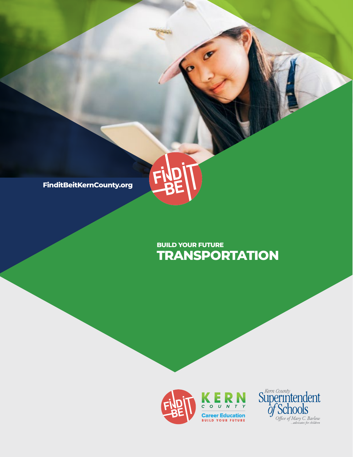

## **TRANSPORTATION BUILD YOUR FUTURE**